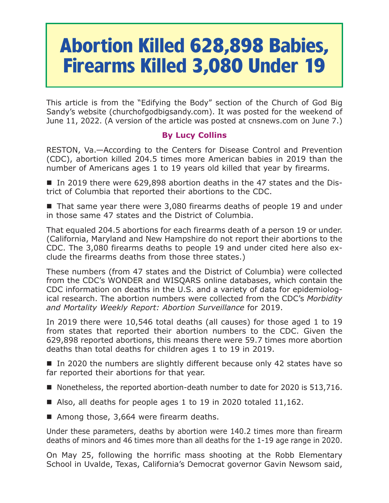## **Abortion Killed 628,898 Babies, Firearms Killed 3,080 Under 19**

This article is from the "Edifying the Body" section of the Church of God Big Sandy's website (churchofgodbigsandy.com). It was posted for the weekend of June 11, 2022. (A version of the article was posted at cnsnews.com on June 7.)

## **By Lucy Collins**

RESTON, Va.—According to the Centers for Disease Control and Prevention (CDC), abortion killed 204.5 times more American babies in 2019 than the number of Americans ages 1 to 19 years old killed that year by firearms.

■ In 2019 there were 629,898 abortion deaths in the 47 states and the District of Columbia that reported their abortions to the CDC.

■ That same year there were 3,080 firearms deaths of people 19 and under in those same 47 states and the District of Columbia.

That equaled 204.5 abortions for each firearms death of a person 19 or under. (California, Maryland and New Hampshire do not report their abortions to the CDC. The 3,080 firearms deaths to people 19 and under cited here also exclude the firearms deaths from those three states.)

These numbers (from 47 states and the District of Columbia) were collected from the CDC's WONDER and WISQARS online databases, which contain the CDC information on deaths in the U.S. and a variety of data for epidemiological research. The abortion numbers were collected from the CDC's *Morbidity and Mortality Weekly Report: Abortion Surveillance* for 2019.

In 2019 there were 10,546 total deaths (all causes) for those aged 1 to 19 from states that reported their abortion numbers to the CDC. Given the 629,898 reported abortions, this means there were 59.7 times more abortion deaths than total deaths for children ages 1 to 19 in 2019.

In 2020 the numbers are slightly different because only 42 states have so far reported their abortions for that year.

- Nonetheless, the reported abortion-death number to date for 2020 is 513,716.
- Also, all deaths for people ages 1 to 19 in 2020 totaled 11,162.
- Among those, 3,664 were firearm deaths.

Under these parameters, deaths by abortion were 140.2 times more than firearm deaths of minors and 46 times more than all deaths for the 1-19 age range in 2020.

On May 25, following the horrific mass shooting at the Robb Elementary School in Uvalde, Texas, California's Democrat governor Gavin Newsom said,